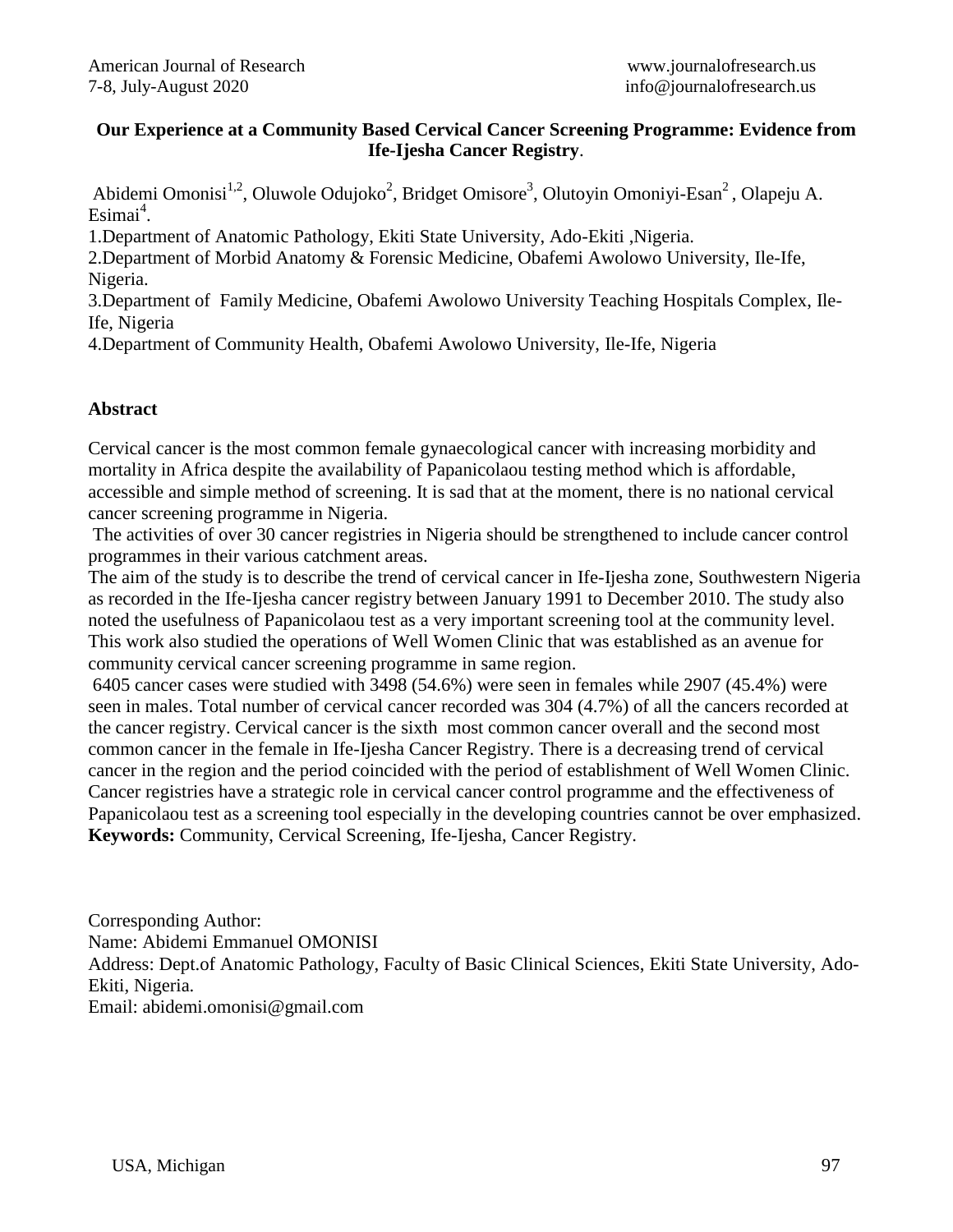## **Our Experience at a Community Based Cervical Cancer Screening Programme: Evidence from Ife-Ijesha Cancer Registry**.

Abidemi Omonisi<sup>1,2</sup>, Oluwole Odujoko<sup>2</sup>, Bridget Omisore<sup>3</sup>, Olutoyin Omoniyi-Esan<sup>2</sup>, Olapeju A. Esimai<sup>4</sup>.

1.Department of Anatomic Pathology, Ekiti State University, Ado-Ekiti ,Nigeria.

2.Department of Morbid Anatomy & Forensic Medicine, Obafemi Awolowo University, Ile-Ife, Nigeria.

3.Department of Family Medicine, Obafemi Awolowo University Teaching Hospitals Complex, Ile-Ife, Nigeria

4.Department of Community Health, Obafemi Awolowo University, Ile-Ife, Nigeria

# **Abstract**

Cervical cancer is the most common female gynaecological cancer with increasing morbidity and mortality in Africa despite the availability of Papanicolaou testing method which is affordable, accessible and simple method of screening. It is sad that at the moment, there is no national cervical cancer screening programme in Nigeria.

The activities of over 30 cancer registries in Nigeria should be strengthened to include cancer control programmes in their various catchment areas.

The aim of the study is to describe the trend of cervical cancer in Ife-Ijesha zone, Southwestern Nigeria as recorded in the Ife-Ijesha cancer registry between January 1991 to December 2010. The study also noted the usefulness of Papanicolaou test as a very important screening tool at the community level. This work also studied the operations of Well Women Clinic that was established as an avenue for community cervical cancer screening programme in same region.

6405 cancer cases were studied with 3498 (54.6%) were seen in females while 2907 (45.4%) were seen in males. Total number of cervical cancer recorded was 304 (4.7%) of all the cancers recorded at the cancer registry. Cervical cancer is the sixth most common cancer overall and the second most common cancer in the female in Ife-Ijesha Cancer Registry. There is a decreasing trend of cervical cancer in the region and the period coincided with the period of establishment of Well Women Clinic. Cancer registries have a strategic role in cervical cancer control programme and the effectiveness of Papanicolaou test as a screening tool especially in the developing countries cannot be over emphasized. **Keywords:** Community, Cervical Screening, Ife-Ijesha, Cancer Registry.

Corresponding Author: Name: Abidemi Emmanuel OMONISI Address: Dept.of Anatomic Pathology, Faculty of Basic Clinical Sciences, Ekiti State University, Ado-Ekiti, Nigeria. Email: abidemi.omonisi@gmail.com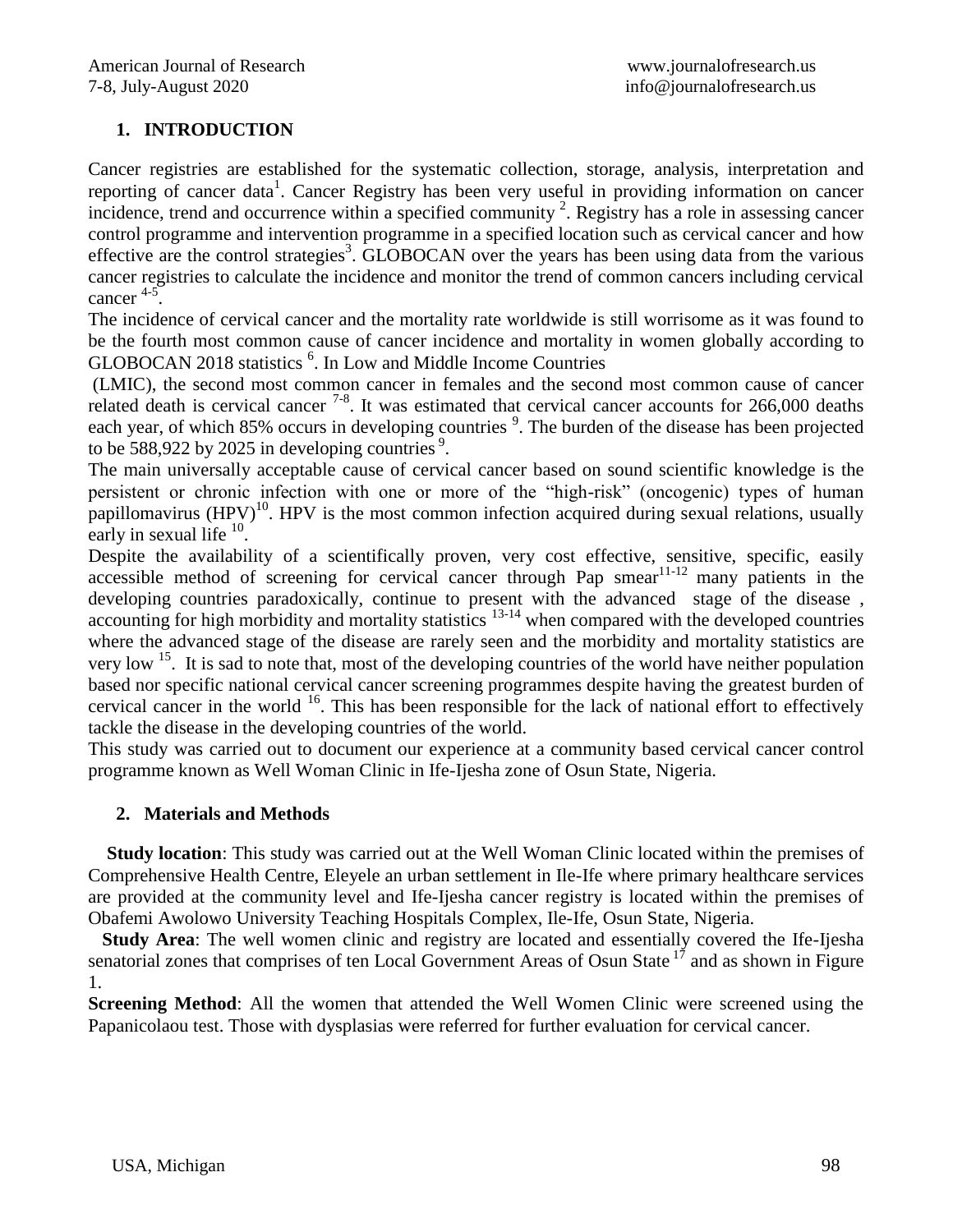# **1. INTRODUCTION**

Cancer registries are established for the systematic collection, storage, analysis, interpretation and reporting of cancer data<sup>1</sup>. Cancer Registry has been very useful in providing information on cancer incidence, trend and occurrence within a specified community  $2$ . Registry has a role in assessing cancer control programme and intervention programme in a specified location such as cervical cancer and how effective are the control strategies<sup>3</sup>. GLOBOCAN over the years has been using data from the various cancer registries to calculate the incidence and monitor the trend of common cancers including cervical cancer 4-5 .

The incidence of cervical cancer and the mortality rate worldwide is still worrisome as it was found to be the fourth most common cause of cancer incidence and mortality in women globally according to GLOBOCAN 2018 statistics <sup>6</sup>. In Low and Middle Income Countries

(LMIC), the second most common cancer in females and the second most common cause of cancer related death is cervical cancer  $7-8$ . It was estimated that cervical cancer accounts for 266,000 deaths each year, of which 85% occurs in developing countries <sup>9</sup>. The burden of the disease has been projected to be 588,922 by 2025 in developing countries<sup>9</sup>.

The main universally acceptable cause of cervical cancer based on sound scientific knowledge is the persistent or chronic infection with one or more of the "high-risk" (oncogenic) types of human papillomavirus  $(HPV)^{10}$ . HPV is the most common infection acquired during sexual relations, usually early in sexual life  $10$ .

Despite the availability of a scientifically proven, very cost effective, sensitive, specific, easily accessible method of screening for cervical cancer through Pap smear<sup>11-12</sup> many patients in the developing countries paradoxically, continue to present with the advanced stage of the disease,  $\alpha$  accounting for high morbidity and mortality statistics  $13-14$  when compared with the developed countries where the advanced stage of the disease are rarely seen and the morbidity and mortality statistics are very low <sup>15</sup>. It is sad to note that, most of the developing countries of the world have neither population based nor specific national cervical cancer screening programmes despite having the greatest burden of cervical cancer in the world <sup>16</sup>. This has been responsible for the lack of national effort to effectively tackle the disease in the developing countries of the world.

This study was carried out to document our experience at a community based cervical cancer control programme known as Well Woman Clinic in Ife-Ijesha zone of Osun State, Nigeria.

# **2. Materials and Methods**

 **Study location**: This study was carried out at the Well Woman Clinic located within the premises of Comprehensive Health Centre, Eleyele an urban settlement in Ile-Ife where primary healthcare services are provided at the community level and Ife-Ijesha cancer registry is located within the premises of Obafemi Awolowo University Teaching Hospitals Complex, Ile-Ife, Osun State, Nigeria.

 **Study Area**: The well women clinic and registry are located and essentially covered the Ife-Ijesha senatorial zones that comprises of ten Local Government Areas of Osun State<sup>17</sup> and as shown in Figure 1.

**Screening Method**: All the women that attended the Well Women Clinic were screened using the Papanicolaou test. Those with dysplasias were referred for further evaluation for cervical cancer.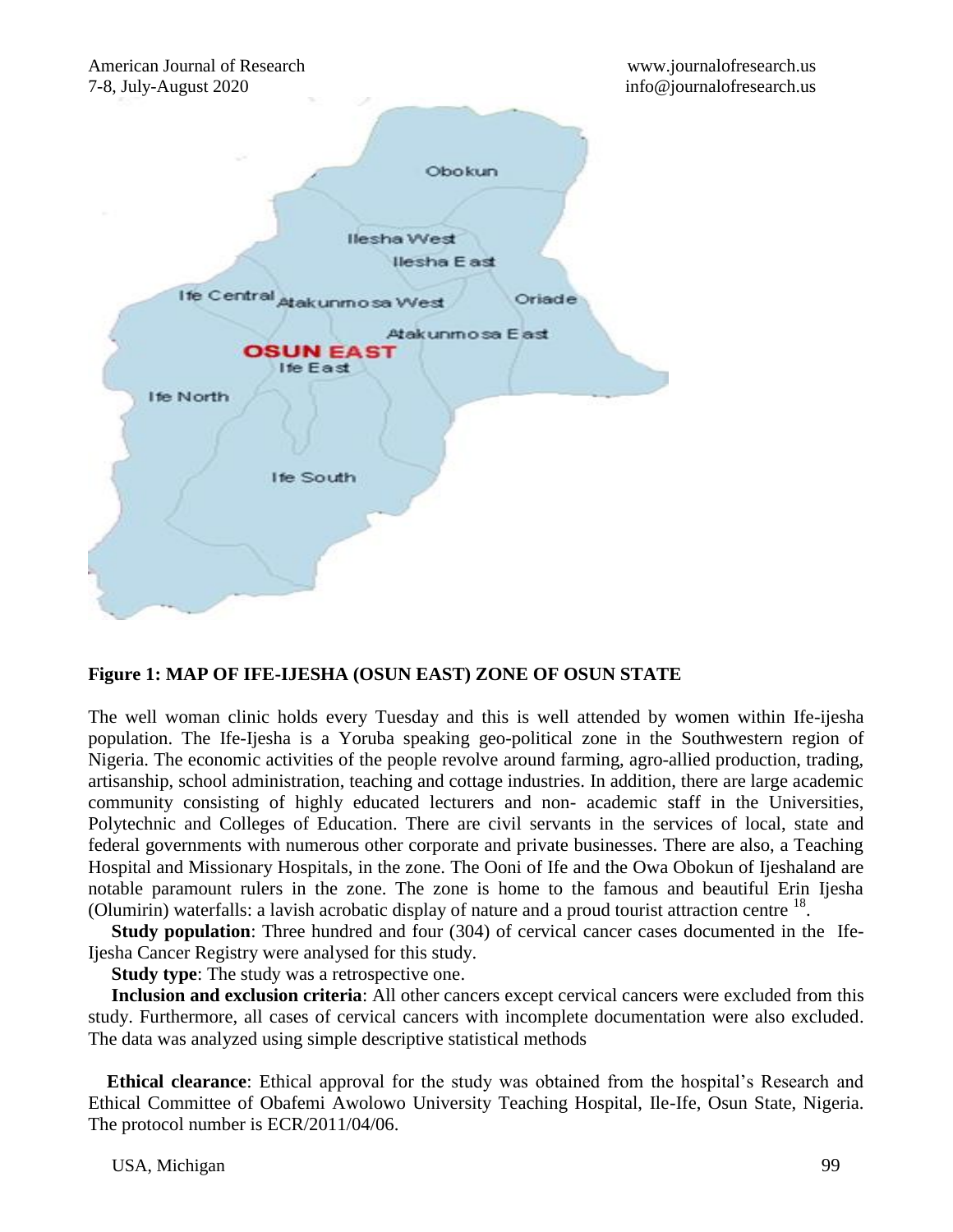

# **Figure 1: MAP OF IFE-IJESHA (OSUN EAST) ZONE OF OSUN STATE**

The well woman clinic holds every Tuesday and this is well attended by women within Ife-ijesha population. The Ife-Ijesha is a Yoruba speaking geo-political zone in the Southwestern region of Nigeria. The economic activities of the people revolve around farming, agro-allied production, trading, artisanship, school administration, teaching and cottage industries. In addition, there are large academic community consisting of highly educated lecturers and non- academic staff in the Universities, Polytechnic and Colleges of Education. There are civil servants in the services of local, state and federal governments with numerous other corporate and private businesses. There are also, a Teaching Hospital and Missionary Hospitals, in the zone. The Ooni of Ife and the Owa Obokun of Ijeshaland are notable paramount rulers in the zone. The zone is home to the famous and beautiful Erin Ijesha (Olumirin) waterfalls: a lavish acrobatic display of nature and a proud tourist attraction centre  $^{18}$ .

 **Study population**: Three hundred and four (304) of cervical cancer cases documented in the Ife-Ijesha Cancer Registry were analysed for this study.

**Study type:** The study was a retrospective one.

 **Inclusion and exclusion criteria**: All other cancers except cervical cancers were excluded from this study. Furthermore, all cases of cervical cancers with incomplete documentation were also excluded. The data was analyzed using simple descriptive statistical methods

 **Ethical clearance**: Ethical approval for the study was obtained from the hospital's Research and Ethical Committee of Obafemi Awolowo University Teaching Hospital, Ile-Ife, Osun State, Nigeria. The protocol number is ECR/2011/04/06.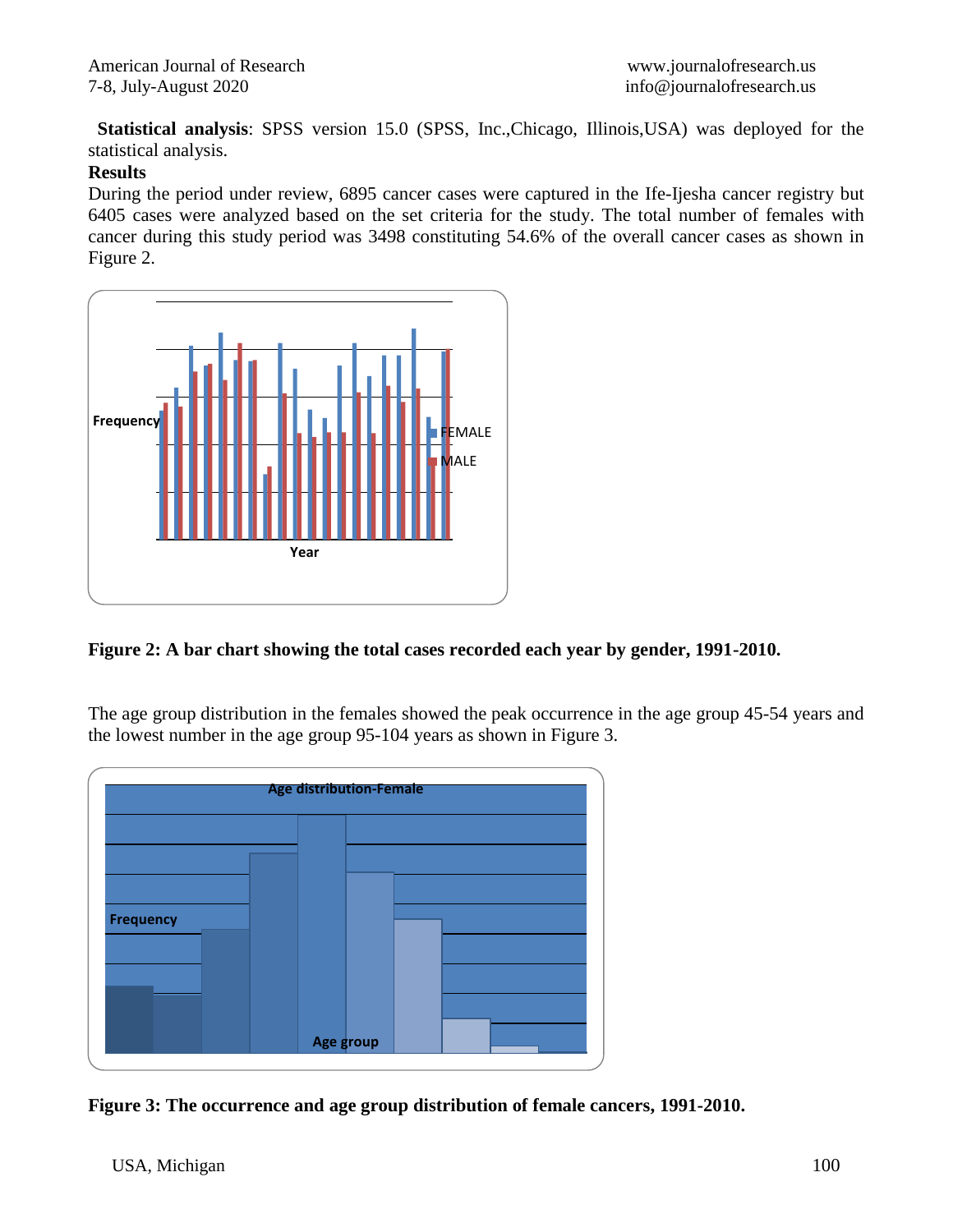**Statistical analysis**: SPSS version 15.0 (SPSS, Inc.,Chicago, Illinois,USA) was deployed for the statistical analysis.

## **Results**

During the period under review, 6895 cancer cases were captured in the Ife-Ijesha cancer registry but 6405 cases were analyzed based on the set criteria for the study. The total number of females with cancer during this study period was 3498 constituting 54.6% of the overall cancer cases as shown in Figure 2.



**Figure 2: A bar chart showing the total cases recorded each year by gender, 1991-2010.**

The age group distribution in the females showed the peak occurrence in the age group 45-54 years and the lowest number in the age group 95-104 years as shown in Figure 3.



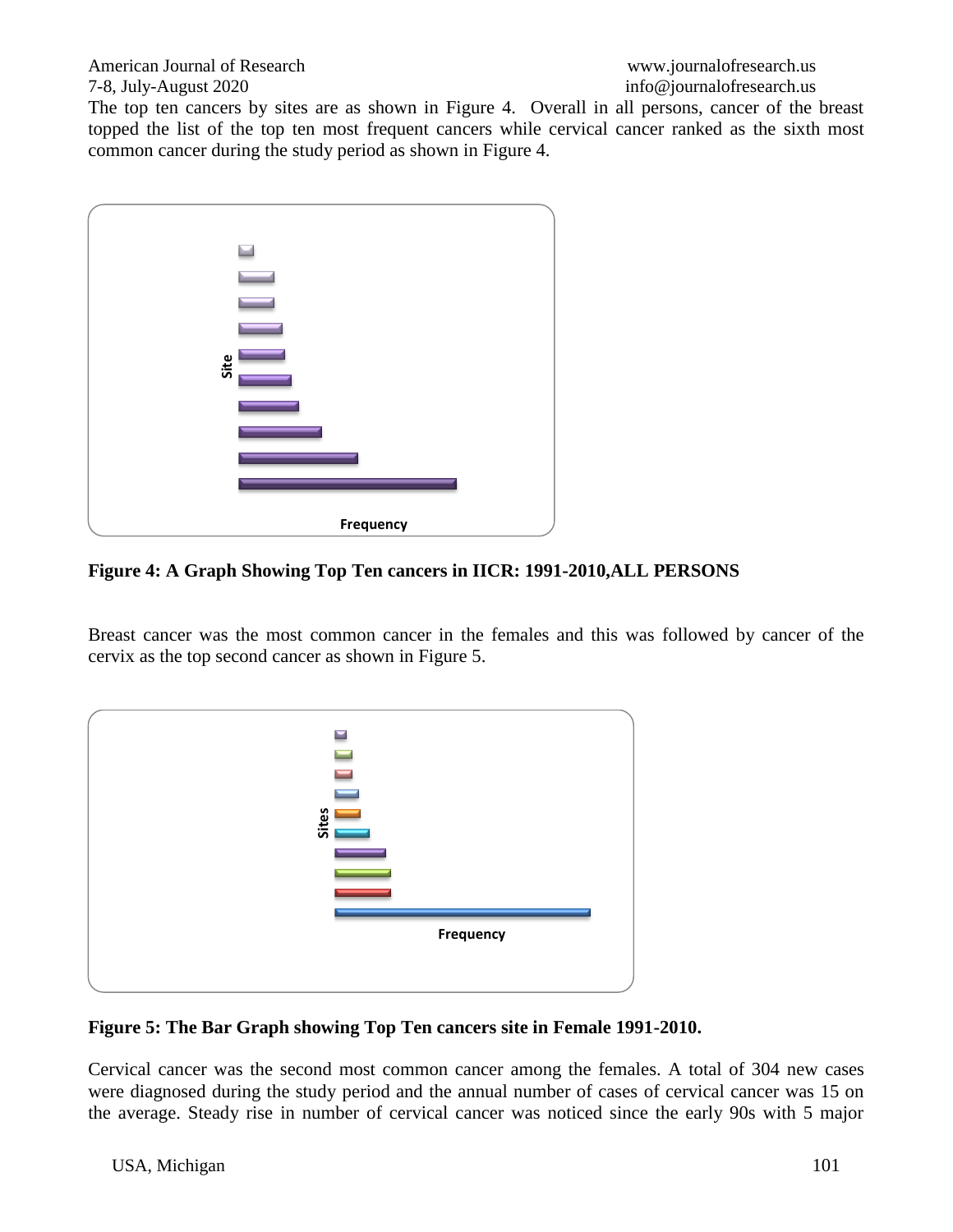American Journal of Research [www.journalofresearch.us](http://www.journalofresearch.us/)

The top ten cancers by sites are as shown in Figure 4. Overall in all persons, cancer of the breast topped the list of the top ten most frequent cancers while cervical cancer ranked as the sixth most common cancer during the study period as shown in Figure 4.



**Figure 4: A Graph Showing Top Ten cancers in IICR: 1991-2010,ALL PERSONS**

Breast cancer was the most common cancer in the females and this was followed by cancer of the cervix as the top second cancer as shown in Figure 5.



# **Figure 5: The Bar Graph showing Top Ten cancers site in Female 1991-2010.**

Cervical cancer was the second most common cancer among the females. A total of 304 new cases were diagnosed during the study period and the annual number of cases of cervical cancer was 15 on the average. Steady rise in number of cervical cancer was noticed since the early 90s with 5 major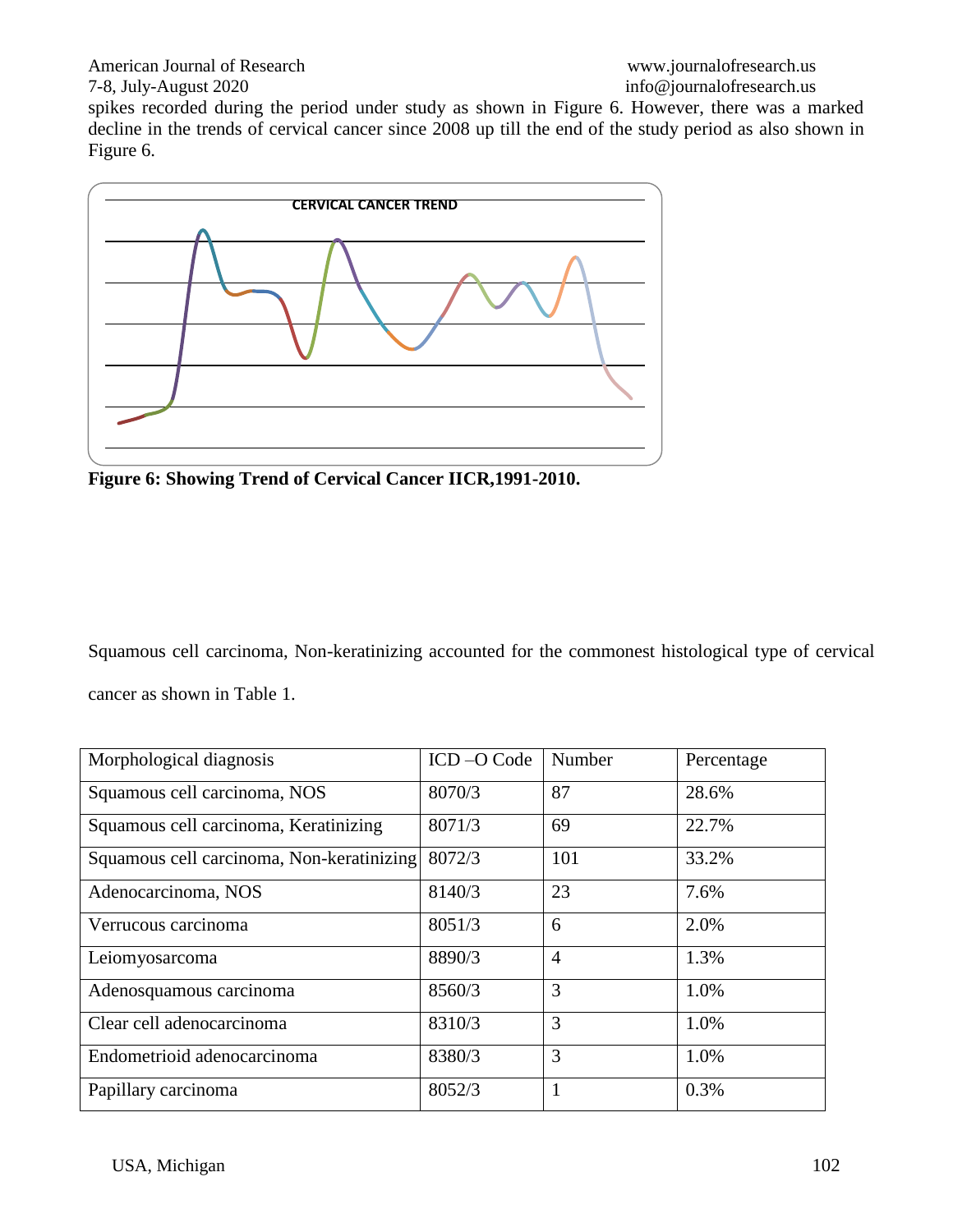American Journal of Research [www.journalofresearch.us](http://www.journalofresearch.us/)

spikes recorded during the period under study as shown in Figure 6. However, there was a marked decline in the trends of cervical cancer since 2008 up till the end of the study period as also shown in Figure 6.



**Figure 6: Showing Trend of Cervical Cancer IICR,1991-2010.**

Squamous cell carcinoma, Non-keratinizing accounted for the commonest histological type of cervical cancer as shown in Table 1.

| Morphological diagnosis                   | ICD-O Code | Number         | Percentage |
|-------------------------------------------|------------|----------------|------------|
| Squamous cell carcinoma, NOS              | 8070/3     | 87             | 28.6%      |
| Squamous cell carcinoma, Keratinizing     | 8071/3     | 69             | 22.7%      |
| Squamous cell carcinoma, Non-keratinizing | 8072/3     | 101            | 33.2%      |
| Adenocarcinoma, NOS                       | 8140/3     | 23             | 7.6%       |
| Verrucous carcinoma                       | 8051/3     | 6              | 2.0%       |
| Leiomyosarcoma                            | 8890/3     | $\overline{4}$ | 1.3%       |
| Adenosquamous carcinoma                   | 8560/3     | 3              | 1.0%       |
| Clear cell adenocarcinoma                 | 8310/3     | 3              | 1.0%       |
| Endometrioid adenocarcinoma               | 8380/3     | 3              | 1.0%       |
| Papillary carcinoma                       | 8052/3     |                | 0.3%       |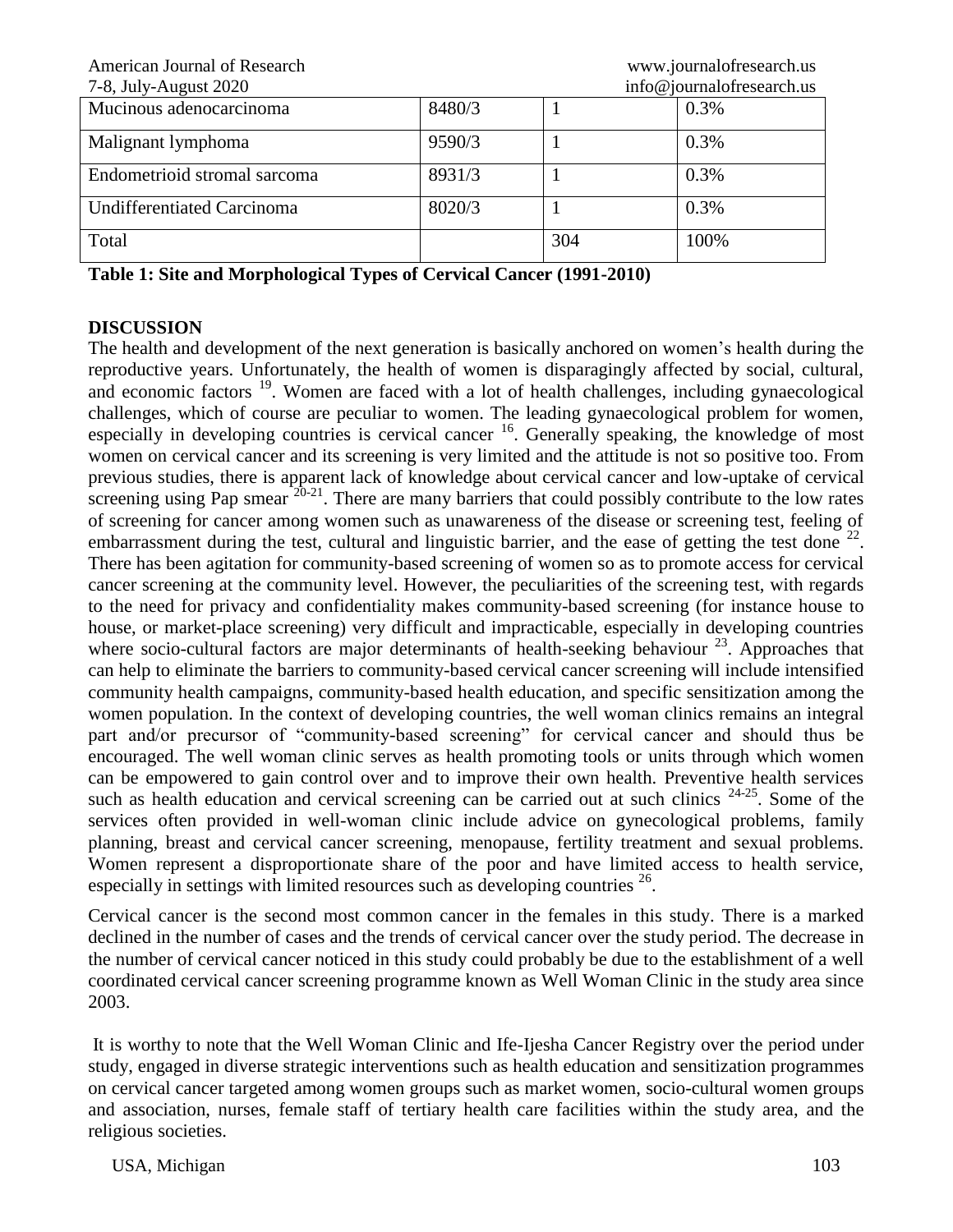| American Journal of Research      |        |     | www.journalofresearch.us  |
|-----------------------------------|--------|-----|---------------------------|
| 7-8, July-August 2020             |        |     | info@journalofresearch.us |
| Mucinous adenocarcinoma           | 8480/3 |     | 0.3%                      |
| Malignant lymphoma                | 9590/3 |     | 0.3%                      |
| Endometrioid stromal sarcoma      | 8931/3 |     | 0.3%                      |
| <b>Undifferentiated Carcinoma</b> | 8020/3 |     | 0.3%                      |
| Total                             |        | 304 | 100%                      |

**Table 1: Site and Morphological Types of Cervical Cancer (1991-2010)**

#### **DISCUSSION**

The health and development of the next generation is basically anchored on women's health during the reproductive years. Unfortunately, the health of women is disparagingly affected by social, cultural, and economic factors <sup>19</sup>. Women are faced with a lot of health challenges, including gynaecological challenges, which of course are peculiar to women. The leading gynaecological problem for women, especially in developing countries is cervical cancer <sup>16</sup>. Generally speaking, the knowledge of most women on cervical cancer and its screening is very limited and the attitude is not so positive too. From previous studies, there is apparent lack of knowledge about cervical cancer and low-uptake of cervical screening using Pap smear  $20-21$ . There are many barriers that could possibly contribute to the low rates of screening for cancer among women such as unawareness of the disease or screening test, feeling of embarrassment during the test, cultural and linguistic barrier, and the ease of getting the test done  $^{22}$ . There has been agitation for community-based screening of women so as to promote access for cervical cancer screening at the community level. However, the peculiarities of the screening test, with regards to the need for privacy and confidentiality makes community-based screening (for instance house to house, or market-place screening) very difficult and impracticable, especially in developing countries where socio-cultural factors are major determinants of health-seeking behaviour<sup>23</sup>. Approaches that can help to eliminate the barriers to community-based cervical cancer screening will include intensified community health campaigns, community-based health education, and specific sensitization among the women population. In the context of developing countries, the well woman clinics remains an integral part and/or precursor of "community-based screening" for cervical cancer and should thus be encouraged. The well woman clinic serves as health promoting tools or units through which women can be empowered to gain control over and to improve their own health. Preventive health services such as health education and cervical screening can be carried out at such clinics  $24-25$ . Some of the services often provided in well-woman clinic include advice on gynecological problems, family planning, breast and cervical cancer screening, menopause, fertility treatment and sexual problems. Women represent a disproportionate share of the poor and have limited access to health service, especially in settings with limited resources such as developing countries  $26$ .

Cervical cancer is the second most common cancer in the females in this study. There is a marked declined in the number of cases and the trends of cervical cancer over the study period. The decrease in the number of cervical cancer noticed in this study could probably be due to the establishment of a well coordinated cervical cancer screening programme known as Well Woman Clinic in the study area since 2003.

It is worthy to note that the Well Woman Clinic and Ife-Ijesha Cancer Registry over the period under study, engaged in diverse strategic interventions such as health education and sensitization programmes on cervical cancer targeted among women groups such as market women, socio-cultural women groups and association, nurses, female staff of tertiary health care facilities within the study area, and the religious societies.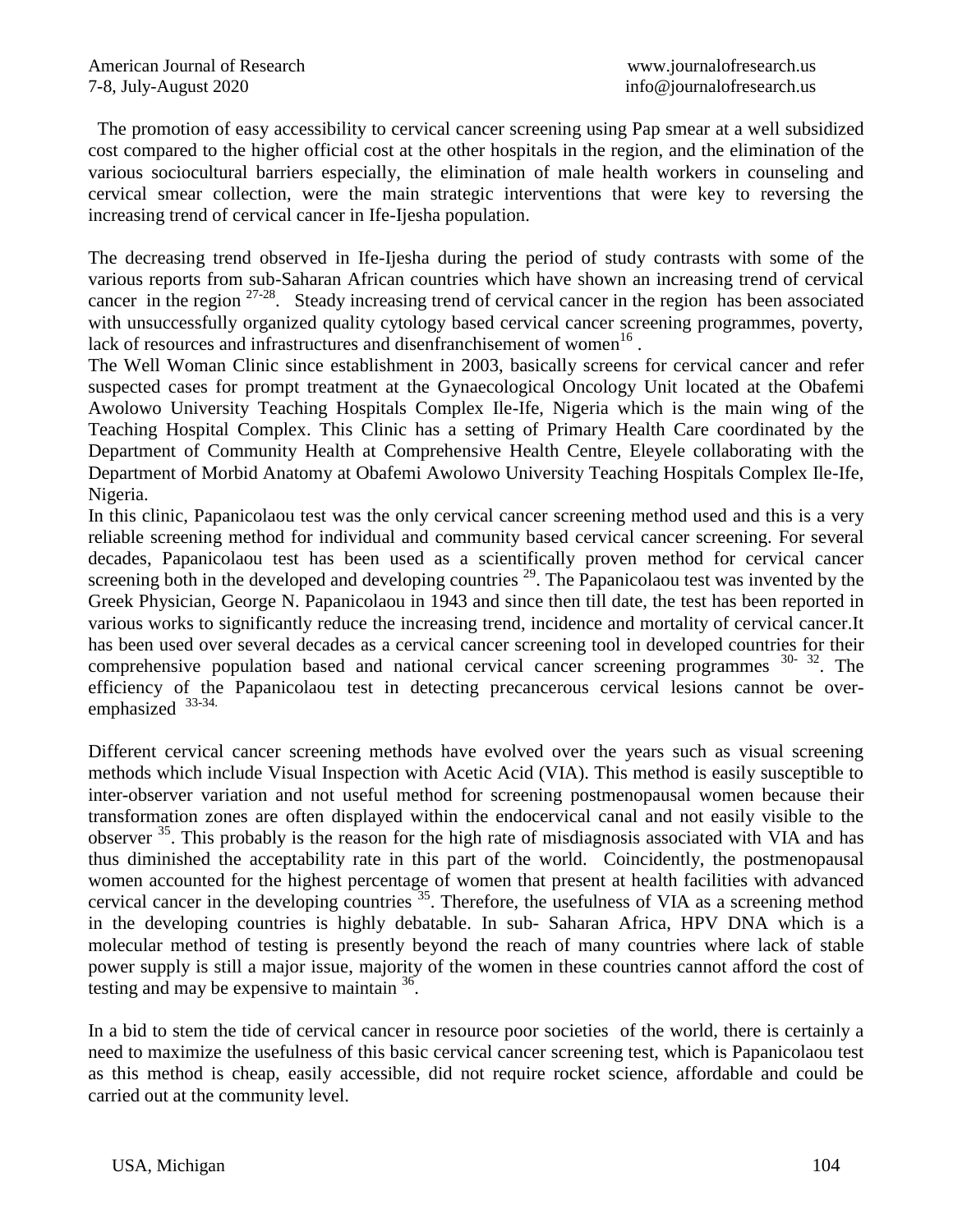The promotion of easy accessibility to cervical cancer screening using Pap smear at a well subsidized cost compared to the higher official cost at the other hospitals in the region, and the elimination of the various sociocultural barriers especially, the elimination of male health workers in counseling and cervical smear collection, were the main strategic interventions that were key to reversing the increasing trend of cervical cancer in Ife-Ijesha population.

The decreasing trend observed in Ife-Ijesha during the period of study contrasts with some of the various reports from sub-Saharan African countries which have shown an increasing trend of cervical cancer in the region  $27-28$ . Steady increasing trend of cervical cancer in the region has been associated with unsuccessfully organized quality cytology based cervical cancer screening programmes, poverty, lack of resources and infrastructures and disenfranchisement of women<sup>16</sup>.

The Well Woman Clinic since establishment in 2003, basically screens for cervical cancer and refer suspected cases for prompt treatment at the Gynaecological Oncology Unit located at the Obafemi Awolowo University Teaching Hospitals Complex Ile-Ife, Nigeria which is the main wing of the Teaching Hospital Complex. This Clinic has a setting of Primary Health Care coordinated by the Department of Community Health at Comprehensive Health Centre, Eleyele collaborating with the Department of Morbid Anatomy at Obafemi Awolowo University Teaching Hospitals Complex Ile-Ife, Nigeria.

In this clinic, Papanicolaou test was the only cervical cancer screening method used and this is a very reliable screening method for individual and community based cervical cancer screening. For several decades, Papanicolaou test has been used as a scientifically proven method for cervical cancer screening both in the developed and developing countries  $29$ . The Papanicolaou test was invented by the Greek Physician, George N. Papanicolaou in 1943 and since then till date, the test has been reported in various works to significantly reduce the increasing trend, incidence and mortality of cervical cancer.It has been used over several decades as a cervical cancer screening tool in developed countries for their comprehensive population based and national cervical cancer screening programmes <sup>30-</sup> <sup>32</sup>. The efficiency of the Papanicolaou test in detecting precancerous cervical lesions cannot be overemphasized 33-34.

Different cervical cancer screening methods have evolved over the years such as visual screening methods which include Visual Inspection with Acetic Acid (VIA). This method is easily susceptible to inter-observer variation and not useful method for screening postmenopausal women because their transformation zones are often displayed within the endocervical canal and not easily visible to the observer <sup>35</sup>. This probably is the reason for the high rate of misdiagnosis associated with VIA and has thus diminished the acceptability rate in this part of the world. Coincidently, the postmenopausal women accounted for the highest percentage of women that present at health facilities with advanced cervical cancer in the developing countries  $35$ . Therefore, the usefulness of VIA as a screening method in the developing countries is highly debatable. In sub- Saharan Africa, HPV DNA which is a molecular method of testing is presently beyond the reach of many countries where lack of stable power supply is still a major issue, majority of the women in these countries cannot afford the cost of testing and may be expensive to maintain  $36$ .

In a bid to stem the tide of cervical cancer in resource poor societies of the world, there is certainly a need to maximize the usefulness of this basic cervical cancer screening test, which is Papanicolaou test as this method is cheap, easily accessible, did not require rocket science, affordable and could be carried out at the community level.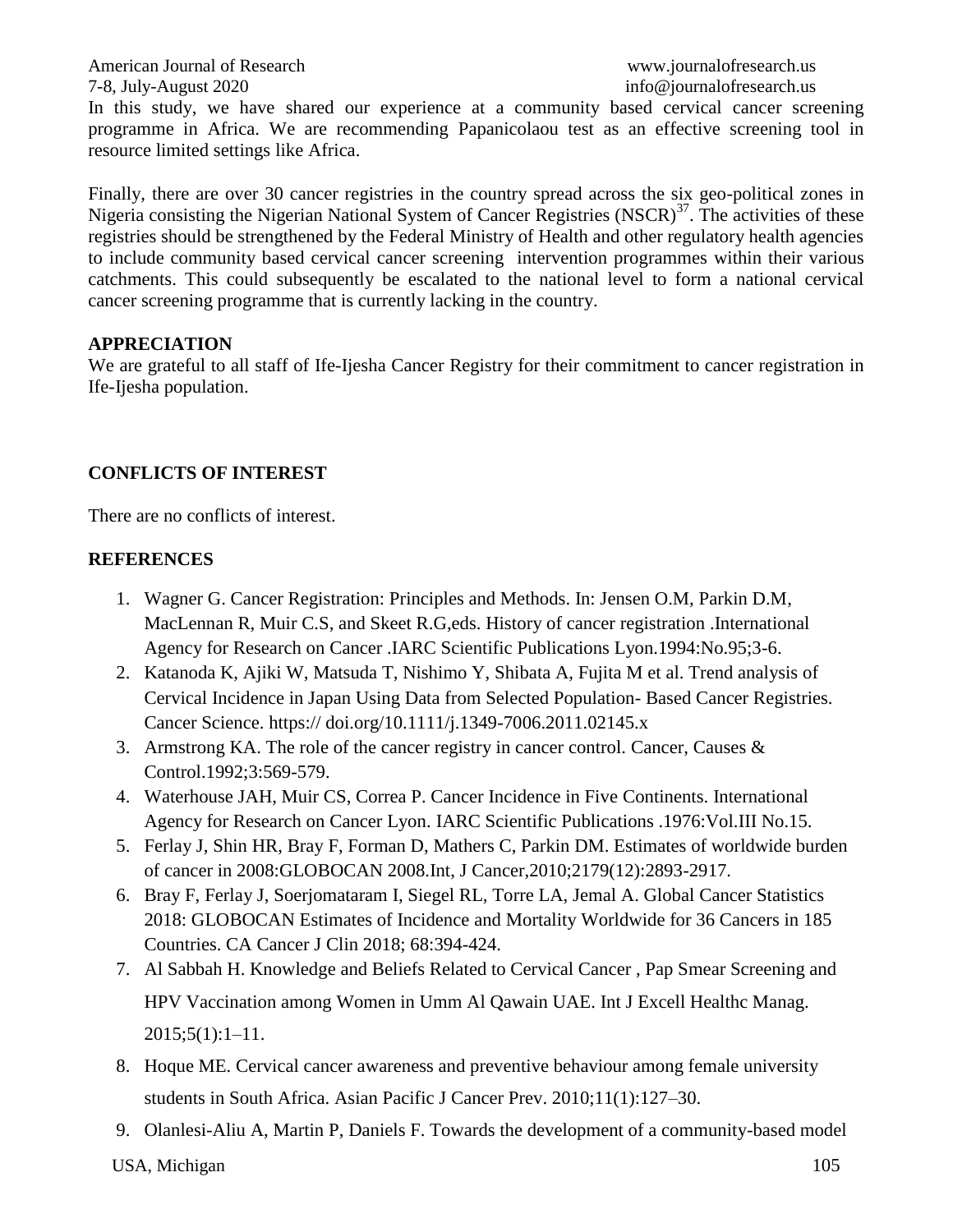American Journal of Research [www.journalofresearch.us](http://www.journalofresearch.us/) 7-8, July-August 2020 info@journalofresearch.us In this study, we have shared our experience at a community based cervical cancer screening programme in Africa. We are recommending Papanicolaou test as an effective screening tool in resource limited settings like Africa.

Finally, there are over 30 cancer registries in the country spread across the six geo-political zones in Nigeria consisting the Nigerian National System of Cancer Registries (NSCR)<sup>37</sup>. The activities of these registries should be strengthened by the Federal Ministry of Health and other regulatory health agencies to include community based cervical cancer screening intervention programmes within their various catchments. This could subsequently be escalated to the national level to form a national cervical cancer screening programme that is currently lacking in the country.

## **APPRECIATION**

We are grateful to all staff of Ife-Ijesha Cancer Registry for their commitment to cancer registration in Ife-Ijesha population.

# **CONFLICTS OF INTEREST**

There are no conflicts of interest.

# **REFERENCES**

- 1. Wagner G. Cancer Registration: Principles and Methods. In: Jensen O.M, Parkin D.M, MacLennan R, Muir C.S, and Skeet R.G,eds. History of cancer registration .International Agency for Research on Cancer .IARC Scientific Publications Lyon.1994:No.95;3-6.
- 2. Katanoda K, Ajiki W, Matsuda T, Nishimo Y, Shibata A, Fujita M et al. Trend analysis of Cervical Incidence in Japan Using Data from Selected Population- Based Cancer Registries. Cancer Science. https:// doi.org/10.1111/j.1349-7006.2011.02145.x
- 3. Armstrong KA. The role of the cancer registry in cancer control. Cancer, Causes & Control.1992;3:569-579.
- 4. Waterhouse JAH, Muir CS, Correa P. Cancer Incidence in Five Continents. International Agency for Research on Cancer Lyon. IARC Scientific Publications .1976:Vol.III No.15.
- 5. Ferlay J, Shin HR, Bray F, Forman D, Mathers C, Parkin DM. Estimates of worldwide burden of cancer in 2008:GLOBOCAN 2008.Int, J Cancer,2010;2179(12):2893-2917.
- 6. Bray F, Ferlay J, Soerjomataram I, Siegel RL, Torre LA, Jemal A. Global Cancer Statistics 2018: GLOBOCAN Estimates of Incidence and Mortality Worldwide for 36 Cancers in 185 Countries. CA Cancer J Clin 2018; 68:394-424.
- 7. Al Sabbah H. Knowledge and Beliefs Related to Cervical Cancer , Pap Smear Screening and HPV Vaccination among Women in Umm Al Qawain UAE. Int J Excell Healthc Manag. 2015;5(1):1–11.
- 8. Hoque ME. Cervical cancer awareness and preventive behaviour among female university students in South Africa. Asian Pacific J Cancer Prev. 2010;11(1):127–30.
- 9. Olanlesi-Aliu A, Martin P, Daniels F. Towards the development of a community-based model

USA, Michigan 105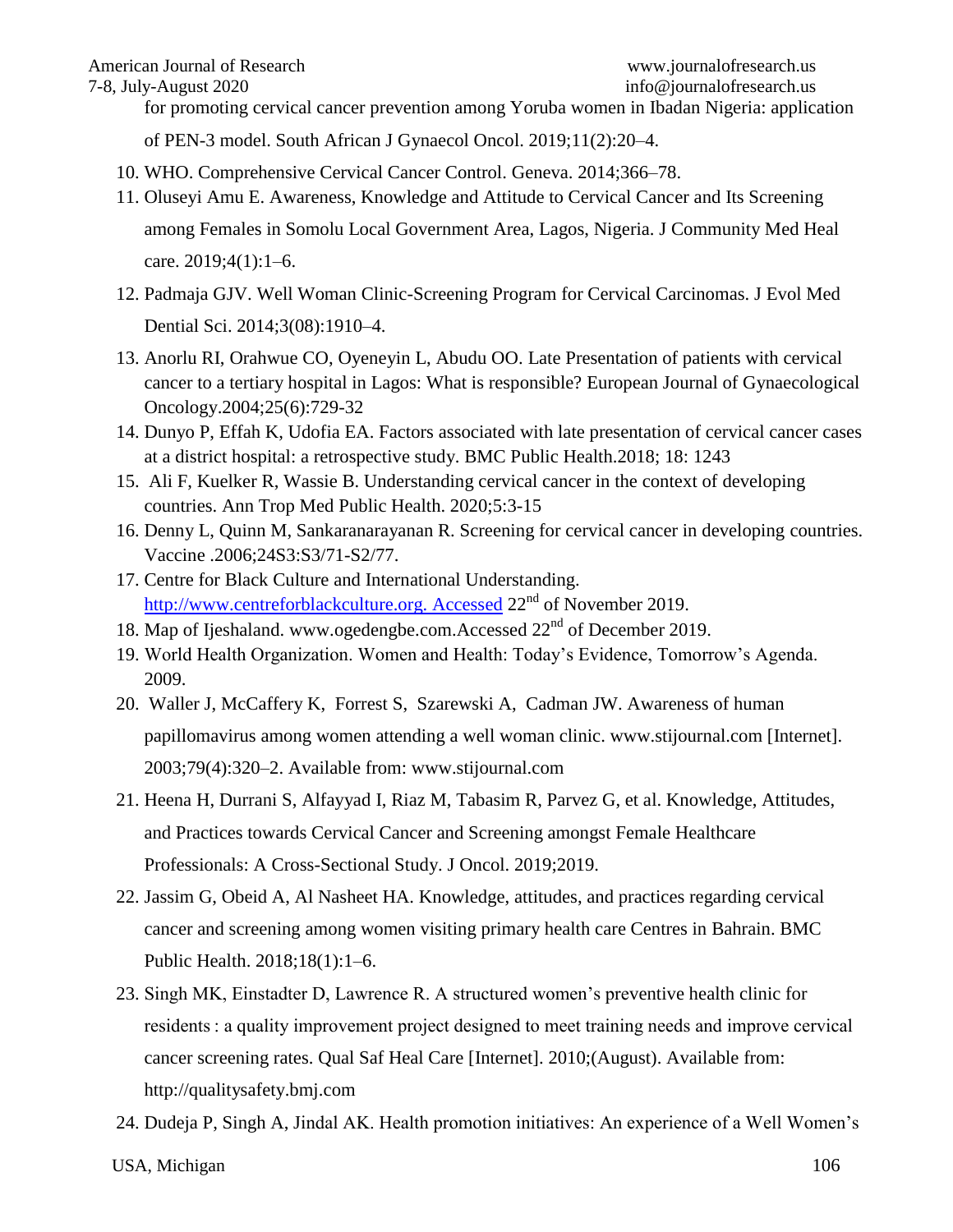#### American Journal of Research [www.journalofresearch.us](http://www.journalofresearch.us/)

for promoting cervical cancer prevention among Yoruba women in Ibadan Nigeria: application

of PEN-3 model. South African J Gynaecol Oncol. 2019;11(2):20–4.

- 10. WHO. Comprehensive Cervical Cancer Control. Geneva. 2014;366–78.
- 11. Oluseyi Amu E. Awareness, Knowledge and Attitude to Cervical Cancer and Its Screening

among Females in Somolu Local Government Area, Lagos, Nigeria. J Community Med Heal care. 2019;4(1):1–6.

- 12. Padmaja GJV. Well Woman Clinic-Screening Program for Cervical Carcinomas. J Evol Med Dential Sci. 2014;3(08):1910–4.
- 13. Anorlu RI, Orahwue CO, Oyeneyin L, Abudu OO. Late Presentation of patients with cervical cancer to a tertiary hospital in Lagos: What is responsible? European Journal of Gynaecological Oncology.2004;25(6):729-32
- 14. Dunyo P, Effah K, Udofia EA. Factors associated with late presentation of cervical cancer cases at a district hospital: a retrospective study. BMC Public Health.2018; 18: 1243
- 15. Ali F, Kuelker R, Wassie B. Understanding cervical cancer in the context of developing countries. Ann Trop Med Public Health. 2020;5:3-15
- 16. Denny L, Quinn M, Sankaranarayanan R. Screening for cervical cancer in developing countries. Vaccine .2006;24S3:S3/71-S2/77.
- 17. Centre for Black Culture and International Understanding. http://www.centreforblackculture.org. Accessed  $22<sup>nd</sup>$  of November 2019.
- 18. Map of Ijeshaland. [www.ogedengbe.com.Accessed](http://www.ogedengbe.com.accessed/) 22<sup>nd</sup> of December 2019.
- 19. World Health Organization. Women and Health: Today's Evidence, Tomorrow's Agenda. 2009.
- 20. Waller J, McCaffery K, Forrest S, Szarewski A, Cadman JW. Awareness of human papillomavirus among women attending a well woman clinic. www.stijournal.com [Internet]. 2003;79(4):320–2. Available from: www.stijournal.com
- 21. Heena H, Durrani S, Alfayyad I, Riaz M, Tabasim R, Parvez G, et al. Knowledge, Attitudes, and Practices towards Cervical Cancer and Screening amongst Female Healthcare Professionals: A Cross-Sectional Study. J Oncol. 2019;2019.
- 22. Jassim G, Obeid A, Al Nasheet HA. Knowledge, attitudes, and practices regarding cervical cancer and screening among women visiting primary health care Centres in Bahrain. BMC Public Health. 2018;18(1):1–6.
- 23. Singh MK, Einstadter D, Lawrence R. A structured women's preventive health clinic for residents : a quality improvement project designed to meet training needs and improve cervical cancer screening rates. Qual Saf Heal Care [Internet]. 2010;(August). Available from: http://qualitysafety.bmj.com
- 24. Dudeja P, Singh A, Jindal AK. Health promotion initiatives: An experience of a Well Women's